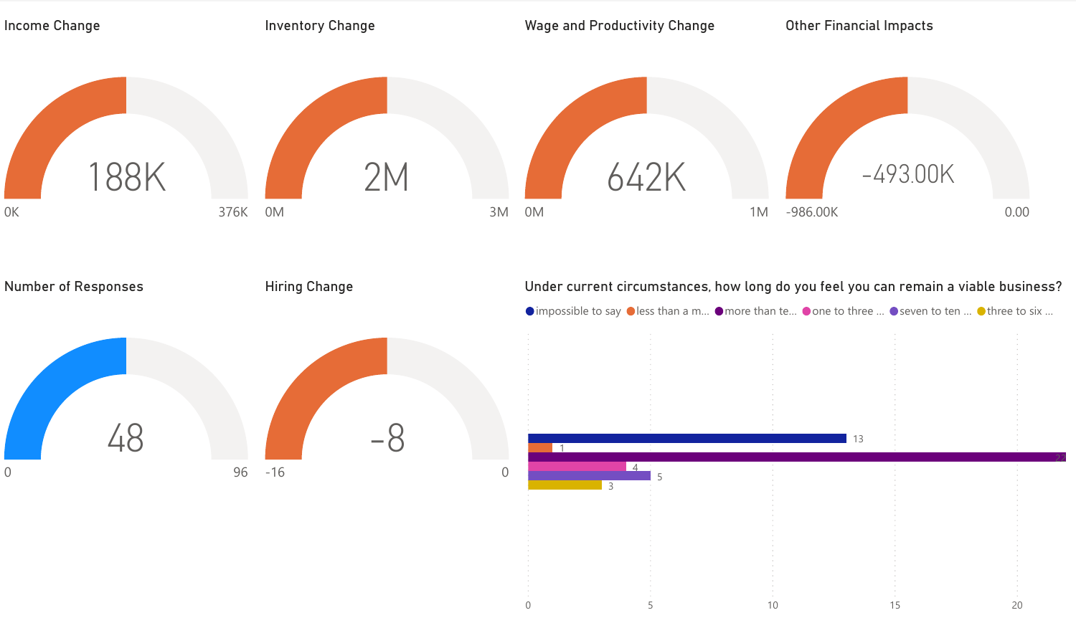